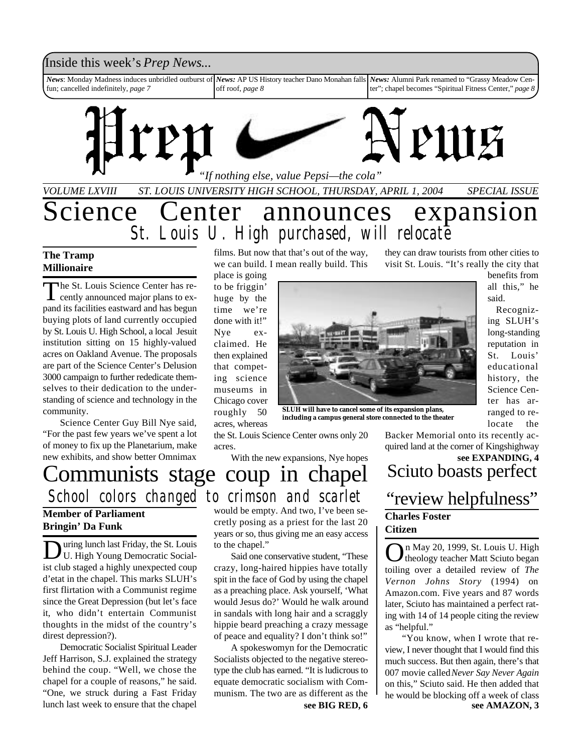### Inside this week's *Prep News*...

*News*: Monday Madness induces unbridled outburst of fun; cancelled indefinitely, *page 7 News:* AP US History teacher Dano Monahan falls off roof, *page 8 News:* Alumni Park renamed to "Grassy Meadow Center"; chapel becomes "Spiritual Fitness Center," *page 8*



#### **The Tramp Millionaire**

The St. Louis Science Center has re-<br>cently announced major plans to exhe St. Louis Science Center has repand its facilities eastward and has begun buying plots of land currently occupied by St. Louis U. High School, a local Jesuit institution sitting on 15 highly-valued acres on Oakland Avenue. The proposals are part of the Science Center's Delusion 3000 campaign to further rededicate themselves to their dedication to the understanding of science and technology in the community.

Science Center Guy Bill Nye said, "For the past few years we've spent a lot of money to fix up the Planetarium, make new exhibits, and show better Omnimax

films. But now that that's out of the way, we can build. I mean really build. This

place is going to be friggin' huge by the time we're done with it!" Nye exclaimed. He then explained that competing science museums in Chicago cover roughly 50 acres, whereas the St. Louis Science Center owns only 20



**SLUH will have to cancel some of its expansion plans, including a campus general store connected to the theater**

they can draw tourists from other cities to visit St. Louis. "It's really the city that

> benefits from all this," he said.

 Recognizing SLUH's long-standing reputation in St. Louis' educational history, the Science Center has arranged to relocate the

Backer Memorial onto its recently acquired land at the corner of Kingshighway

### Sciuto boasts perfect "review helpfulness" **Charles Foster Citizen see EXPANDING, 4**

On May 20, 1999, St. Louis U. High<br>
wheology teacher Matt Sciuto began theology teacher Matt Sciuto began toiling over a detailed review of *The Vernon Johns Story* (1994) on Amazon.com. Five years and 87 words later, Sciuto has maintained a perfect rating with 14 of 14 people citing the review as "helpful."

**see BIG RED, 6 see AMAZON, 3** "You know, when I wrote that review, I never thought that I would find this much success. But then again, there's that 007 movie called *Never Say Never Again* on this," Sciuto said. He then added that he would be blocking off a week of class

### Communists stage coup in chapel *School colors changed to crimson and scarlet* **Member of Parliament**

acres.

## **Bringin' Da Funk**

During lunch last Friday, the St. Louis<br>U. High Young Democratic Socialuring lunch last Friday, the St. Louis ist club staged a highly unexpected coup d'etat in the chapel. This marks SLUH's first flirtation with a Communist regime since the Great Depression (but let's face it, who didn't entertain Communist thoughts in the midst of the country's direst depression?).

Democratic Socialist Spiritual Leader Jeff Harrison, S.J. explained the strategy behind the coup. "Well, we chose the chapel for a couple of reasons," he said. "One, we struck during a Fast Friday lunch last week to ensure that the chapel

would be empty. And two, I've been secretly posing as a priest for the last 20 years or so, thus giving me an easy access to the chapel."

With the new expansions, Nye hopes

Said one conservative student, "These crazy, long-haired hippies have totally spit in the face of God by using the chapel as a preaching place. Ask yourself, 'What would Jesus do?' Would he walk around in sandals with long hair and a scraggly hippie beard preaching a crazy message of peace and equality? I don't think so!"

A spokeswomyn for the Democratic Socialists objected to the negative stereotype the club has earned. "It is ludicrous to equate democratic socialism with Communism. The two are as different as the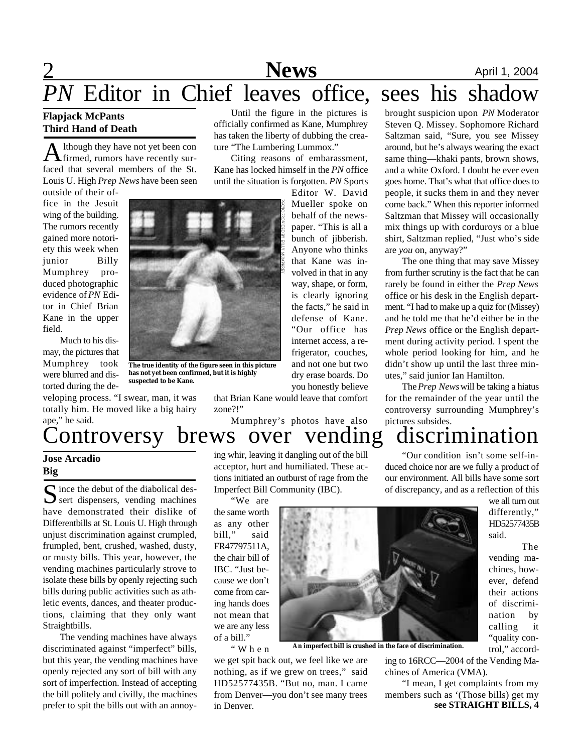# **News** April 1, 2004

# *PN* Editor in Chief leaves office, sees his shadow

#### **Flapjack McPants Third Hand of Death**

A lthough they have not yet been con<br>firmed, rumors have recently surlthough they have not yet been con faced that several members of the St. Louis U. High *Prep News* have been seen

outside of their office in the Jesuit wing of the building. The rumors recently gained more notoriety this week when junior Billy Mumphrey produced photographic evidence of *PN* Editor in Chief Brian Kane in the upper field.

Much to his dismay, the pictures that Mumphrey took were blurred and distorted during the de-

veloping process. "I swear, man, it was totally him. He moved like a big hairy ape," he said.



**The true identity of the figure seen in this picture has not yet been confirmed, but it is highly suspected to be Kane.**

Until the figure in the pictures is officially confirmed as Kane, Mumphrey has taken the liberty of dubbing the creature "The Lumbering Lummox."

Citing reasons of embarassment, Kane has locked himself in the *PN* office until the situation is forgotten. *PN* Sports

Editor W. David Mueller spoke on behalf of the newspaper. "This is all a bunch of jibberish. Anyone who thinks that Kane was involved in that in any way, shape, or form, is clearly ignoring the facts," he said in defense of Kane. "Our office has internet access, a refrigerator, couches, and not one but two dry erase boards. Do you honestly believe

that Brian Kane would leave that comfort zone?!"

Mumphrey's photos have also

brought suspicion upon *PN* Moderator Steven Q. Missey. Sophomore Richard Saltzman said, "Sure, you see Missey around, but he's always wearing the exact same thing—khaki pants, brown shows, and a white Oxford. I doubt he ever even goes home. That's what that office does to people, it sucks them in and they never come back." When this reporter informed Saltzman that Missey will occasionally mix things up with corduroys or a blue shirt, Saltzman replied, "Just who's side are *you* on, anyway?"

The one thing that may save Missey from further scrutiny is the fact that he can rarely be found in either the *Prep News* office or his desk in the English department. "I had to make up a quiz for (Missey) and he told me that he'd either be in the *Prep News* office or the English department during activity period. I spent the whole period looking for him, and he didn't show up until the last three minutes," said junior Ian Hamilton.

The *Prep News* will be taking a hiatus for the remainder of the year until the controversy surrounding Mumphrey's pictures subsides.

duced choice nor are we fully a product of our environment. All bills have some sort

### Controversy brews over vending discrimination "Our condition isn't some self-in-

### **Jose Arcadio Big**

S ince the debut of the diabolical des-<br>sert dispensers, vending machines  $\sum$  sert dispensers, vending machines have demonstrated their dislike of Differentbills at St. Louis U. High through unjust discrimination against crumpled, frumpled, bent, crushed, washed, dusty, or musty bills. This year, however, the vending machines particularly strove to isolate these bills by openly rejecting such bills during public activities such as athletic events, dances, and theater productions, claiming that they only want Straightbills.

The vending machines have always discriminated against "imperfect" bills, but this year, the vending machines have openly rejected any sort of bill with any sort of imperfection. Instead of accepting the bill politely and civilly, the machines prefer to spit the bills out with an annoying whir, leaving it dangling out of the bill acceptor, hurt and humiliated. These actions initiated an outburst of rage from the Imperfect Bill Community (IBC).

"We are the same worth as any other bill," said FR47797511A, the chair bill of IBC. "Just because we don't come from caring hands does not mean that we are any less of a bill."

" W h e n

we get spit back out, we feel like we are nothing, as if we grew on trees," said HD52577435B. "But no, man. I came from Denver—you don't see many trees in Denver.



**An imperfect bill is crushed in the face of discrimination.**

of discrepancy, and as a reflection of this we all turn out differently," HD52577435B said.

> The vending machines, however, defend their actions of discrimination by calling it "quality control," accord-

ing to 16RCC—2004 of the Vending Machines of America (VMA).

**see STRAIGHT BILLS, 4** "I mean, I get complaints from my members such as '(Those bills) get my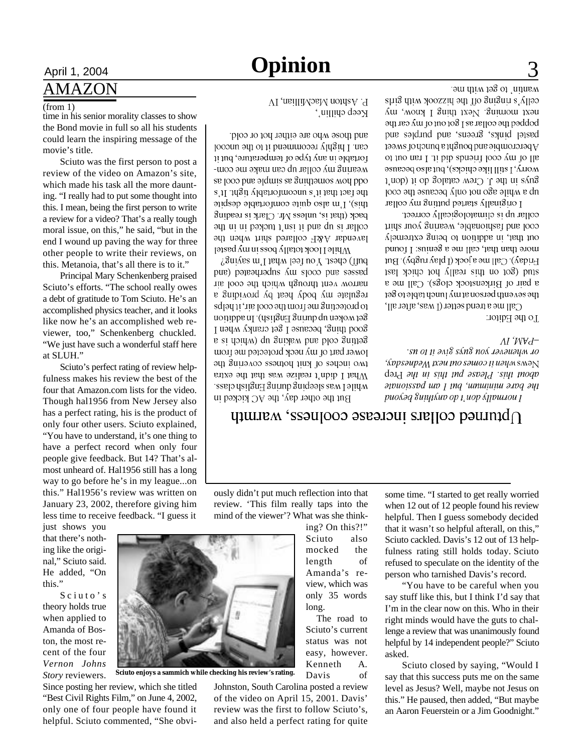# April 1, 2004 **Opinion** 3

and those who are either hot or cold.

can. I highly recommend it to the uncool

iortable in any type of temperature, but it

wearing my collar up can make me com-

se joop pue ajduits se Suitpatios moy ppo the fact that it's uncomiortably tight. It's

this), I'm also quite comfortable despite

regulate my body heat by providing a to protecting me from the cool air, it helps

Set woken up during English. In addition

good thing, because I get cranky when I getting cold and waking up (which is a

lower part of my neck protected me from

эці зипэлоэ взэщоц ния то вэцэш омі

What I didn't realize was that the extra

while Lwas sleeping during English class.

But the other day, the AC kicked in

P. Ashton MacMillian, IV

усеђ српру (

### AMAZON

#### (from 1)

time in his senior morality classes to show the Bond movie in full so all his students could learn the inspiring message of the movie's title.

Sciuto was the first person to post a review of the video on Amazon's site, which made his task all the more daunting. "I really had to put some thought into this. I mean, being the first person to write a review for a video? That's a really tough moral issue, on this," he said, "but in the end I wound up paving the way for three other people to write their reviews, on this. Metanoia, that's all there is to it."

Principal Mary Schenkenberg praised Sciuto's efforts. "The school really owes a debt of gratitude to Tom Sciuto. He's an accomplished physics teacher, and it looks like now he's an accomplished web reviewer, too," Schenkenberg chuckled. "We just have such a wonderful staff here at SLUH."

Sciuto's perfect rating of review helpfulness makes his review the best of the four that Amazon.com lists for the video. Though hal1956 from New Jersey also has a perfect rating, his is the product of only four other users. Sciuto explained, "You have to understand, it's one thing to have a perfect record when only four people give feedback. But 14? That's almost unheard of. Hal1956 still has a long way to go before he's in my league...on this." Hal1956's review was written on January 23, 2002, therefore giving him less time to receive feedback. "I guess it

just shows you that there's nothing like the original," Sciuto said. He added, "On this."

Sciuto's theory holds true when applied to Amanda of Boston, the most recent of the four *Vernon Johns Story* reviewers.

Since posting her review, which she titled "Best Civil Rights Film," on June 4, 2002, only one of four people have found it helpful. Sciuto commented, "She obviJohnston, South Carolina posted a review of the video on April 15, 2001. Davis' review was the first to follow Sciuto's, and also held a perfect rating for quite

ously didn't put much reflection into that review. 'This film really taps into the

> view, which was only 35 words long. The road to Sciuto's current status was not easy, however. Kenneth A.

Davis of

mind of the viewer'? What was she thinking? On this?!" Sciuto also mocked the length of Amanda's resome time. "I started to get really worried when 12 out of 12 people found his review helpful. Then I guess somebody decided

"You have to be careful when you lenge a review that was unanimously found helpful by 14 independent people?" Sciuto asked.

Sciuto closed by saying, "Would I say that this success puts me on the same level as Jesus? Well, maybe not Jesus on this." He paused, then added, "But maybe an Aaron Feuerstein or a Jim Goodnight."

I'm in the clear now on this. Who in their right minds would have the guts to chal-

that it wasn't so helpful afterall, on this," Sciuto cackled. Davis's 12 out of 13 helpfulness rating still holds today. Sciuto refused to speculate on the identity of the person who tarnished Davis's record. say stuff like this, but I think I'd say that

#### back (that is, unless Mr. Clark is reading collar is up and it isn't tucked in ine lavendar A&P collared shirt when the M hile I look totally boss in my pastel but) chest. You teel what I'm saying? pue) papeupadns Au spoop pue sassed narrow vent through which the cool air

 $\Omega$ humed collars increase coolness, warmth

wantin' to get with me. celly's mignip off the hizzook with girls The mount of Next thing 1 know, my popped the collar as I got out of my car the pastel pinks, greens, and purples and A bercrombte and bought a bunch of sweet all of my cool friends did it. I ran out to worry, I still like chicks), but also because  $1 \text{mod } 1$  in the J. Crew catalog do it (don't  $\mu$ b s  $\mu$ ulje s $\partial$ o not only pecanze the cool I originally started putting my collar

collar up is climatologically correct. cool and fashionable, wearing your shirt out that, in addition to being extremely more than that, call me a genuus: I found  $\mu$ Huqay) Call me a jock (1 play rugby). But stud (got on this really hot chick last a pair of Birkenstock clogs) Call me a the seventh person at my lunch table to get

 $C$ all me a trend setter (1 was, after all, To the Editor:

#### AI 'W∀d=

sn o1 11 əa18 sán8 noá 1əaəuəya 10 ' *(sppsaupa<sub>M</sub> psau po sauos p uay M* smaN  $d$ <sub>ald</sub>  $\partial$ *y<sub>1</sub> u<sub>1</sub> siy<sub>1</sub> y*<sub>1</sub> *u<sub>1</sub> u<sub>1</sub> u<sub>1</sub> u<sub>1</sub> u<sub>1</sub> u<sub>1</sub> u<sub>1</sub> u<sub>1</sub> u<sub>1</sub> u<sub>1</sub> u<sub>1</sub> u<sub>1</sub> u<sub>1</sub> u<sub>1</sub> u<sub>1</sub> u<sub>1</sub> u<sub>1</sub> u<sub>1</sub> u<sub>1</sub> u<sub>1</sub> u<sub>1</sub> u<sub>1</sub> u<sub>1</sub> u<sub>1</sub> u<sub>1</sub> u<sub>*</sub> apuoissod un 1 mq 'umununu ang ayi риолод 8инцлир ор 1 иор луршлои 1

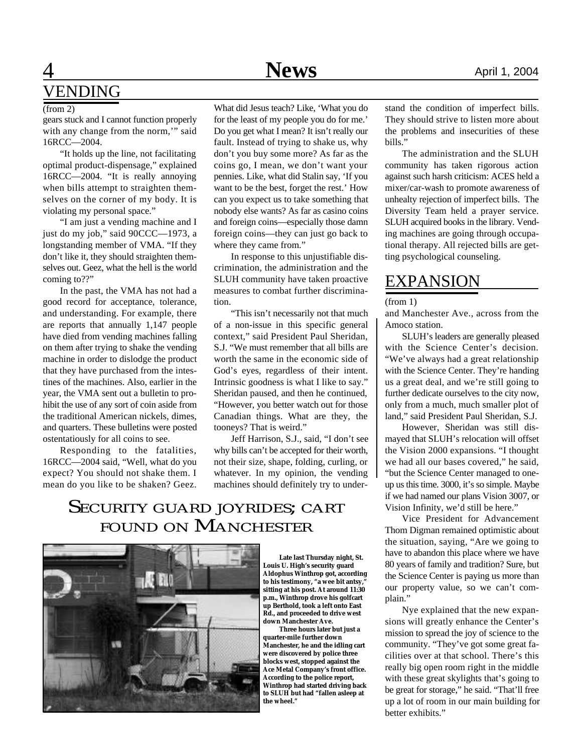## **1 News** April 1, 2004 VENDING

gears stuck and I cannot function properly with any change from the norm," said 16RCC—2004.

"It holds up the line, not facilitating optimal product-dispensage," explained 16RCC—2004. "It is really annoying when bills attempt to straighten themselves on the corner of my body. It is violating my personal space."

"I am just a vending machine and I just do my job," said 90CCC—1973, a longstanding member of VMA. "If they don't like it, they should straighten themselves out. Geez, what the hell is the world coming to??"

In the past, the VMA has not had a good record for acceptance, tolerance, and understanding. For example, there are reports that annually 1,147 people have died from vending machines falling on them after trying to shake the vending machine in order to dislodge the product that they have purchased from the intestines of the machines. Also, earlier in the year, the VMA sent out a bulletin to prohibit the use of any sort of coin aside from the traditional American nickels, dimes, and quarters. These bulletins were posted ostentatiously for all coins to see.

Responding to the fatalities, 16RCC—2004 said, "Well, what do you expect? You should not shake them. I mean do you like to be shaken? Geez.

What did Jesus teach? Like, 'What you do for the least of my people you do for me.' Do you get what I mean? It isn't really our fault. Instead of trying to shake us, why don't you buy some more? As far as the coins go, I mean, we don't want your

pennies. Like, what did Stalin say, 'If you want to be the best, forget the rest.' How can you expect us to take something that nobody else wants? As far as casino coins and foreign coins—especially those damn foreign coins—they can just go back to where they came from."

In response to this unjustifiable discrimination, the administration and the SLUH community have taken proactive measures to combat further discrimination.

"This isn't necessarily not that much of a non-issue in this specific general context," said President Paul Sheridan, S.J. "We must remember that all bills are worth the same in the economic side of God's eyes, regardless of their intent. Intrinsic goodness is what I like to say." Sheridan paused, and then he continued, "However, you better watch out for those Canadian things. What are they, the tooneys? That is weird."

Jeff Harrison, S.J., said, "I don't see why bills can't be accepted for their worth, not their size, shape, folding, curling, or whatever. In my opinion, the vending machines should definitely try to under-

### SECURITY GUARD JOYRIDES; CART FOUND ON MANCHESTER



 **Late last Thursday night, St. Louis U. High's security guard Aldophus Winthrop got, according** to his testimony, "a wee bit antsy, **sitting at his post. At around 11:30 p.m., Winthrop drove his golfcart up Berthold, took a left onto East Rd., and proceeded to drive west down Manchester Ave.**

 **Three hours later but just a quarter-mile further down Manchester, he and the idling cart were discovered by police three blocks west, stopped against the Ace Metal Company's front office. According to the police report, Winthrop had started driving back to SLUH but had "fallen asleep at the wheel."**

(from 2) What did Jesus teach? Like, 'What you do stand the condition of imperfect bills. They should strive to listen more about the problems and insecurities of these bills."

> The administration and the SLUH community has taken rigorous action against such harsh criticism: ACES held a mixer/car-wash to promote awareness of unhealty rejection of imperfect bills. The Diversity Team held a prayer service. SLUH acquired books in the library. Vending machines are going through occupational therapy. All rejected bills are getting psychological counseling.

### EXPANSION

(from 1)

and Manchester Ave., across from the Amoco station.

SLUH's leaders are generally pleased with the Science Center's decision. "We've always had a great relationship with the Science Center. They're handing us a great deal, and we're still going to further dedicate ourselves to the city now, only from a much, much smaller plot of land," said President Paul Sheridan, S.J.

However, Sheridan was still dismayed that SLUH's relocation will offset the Vision 2000 expansions. "I thought we had all our bases covered," he said, "but the Science Center managed to oneup us this time. 3000, it's so simple. Maybe if we had named our plans Vision 3007, or Vision Infinity, we'd still be here."

Vice President for Advancement Thom Digman remained optimistic about the situation, saying, "Are we going to have to abandon this place where we have 80 years of family and tradition? Sure, but the Science Center is paying us more than our property value, so we can't complain."

Nye explained that the new expansions will greatly enhance the Center's mission to spread the joy of science to the community. "They've got some great facilities over at that school. There's this really big open room right in the middle with these great skylights that's going to be great for storage," he said. "That'll free up a lot of room in our main building for better exhibits."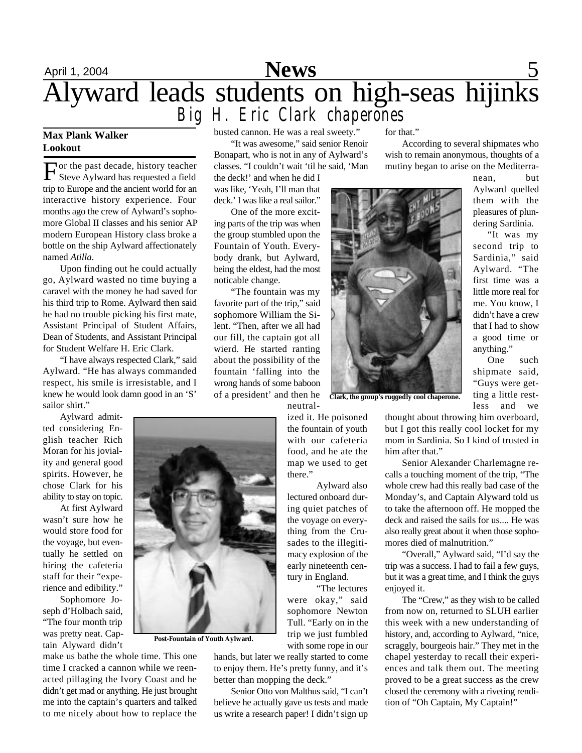

#### **Max Plank Walker Lookout**

F Steve Aylward has requested a field Tor the past decade, history teacher trip to Europe and the ancient world for an interactive history experience. Four months ago the crew of Aylward's sophomore Global II classes and his senior AP modern European History class broke a bottle on the ship Aylward affectionately named *Atilla*.

Upon finding out he could actually go, Aylward wasted no time buying a caravel with the money he had saved for his third trip to Rome. Aylward then said he had no trouble picking his first mate, Assistant Principal of Student Affairs, Dean of Students, and Assistant Principal for Student Welfare H. Eric Clark.

"I have always respected Clark," said Aylward. "He has always commanded respect, his smile is irresistable, and I knew he would look damn good in an 'S' sailor shirt."

Aylward admitted considering English teacher Rich Moran for his joviality and general good spirits. However, he chose Clark for his ability to stay on topic.

At first Aylward wasn't sure how he would store food for the voyage, but eventually he settled on hiring the cafeteria staff for their "experience and edibility."

Sophomore Joseph d'Holbach said, "The four month trip was pretty neat. Captain Alyward didn't

**Post-Fountain of Youth Aylward.**

make us bathe the whole time. This one time I cracked a cannon while we reenacted pillaging the Ivory Coast and he didn't get mad or anything. He just brought me into the captain's quarters and talked to me nicely about how to replace the busted cannon. He was a real sweety."

"It was awesome," said senior Renoir Bonapart, who is not in any of Aylward's classes. "I couldn't wait 'til he said, 'Man

the deck!' and when he did I was like, 'Yeah, I'll man that deck.' I was like a real sailor."

One of the more exciting parts of the trip was when the group stumbled upon the Fountain of Youth. Everybody drank, but Aylward, being the eldest, had the most noticable change.

"The fountain was my favorite part of the trip," said sophomore William the Silent. "Then, after we all had our fill, the captain got all wierd. He started ranting about the possibility of the fountain 'falling into the wrong hands of some baboon of a president' and then he neutral-

> ized it. He poisoned the fountain of youth with our cafeteria food, and he ate the map we used to get there."

> Aylward also lectured onboard during quiet patches of the voyage on everything from the Crusades to the illegitimacy explosion of the early nineteenth century in England.

"The lectures were okay," said sophomore Newton Tull. "Early on in the trip we just fumbled with some rope in our

hands, but later we really started to come to enjoy them. He's pretty funny, and it's better than mopping the deck."

Senior Otto von Malthus said, "I can't believe he actually gave us tests and made us write a research paper! I didn't sign up

for that."

According to several shipmates who wish to remain anonymous, thoughts of a mutiny began to arise on the Mediterra-

> nean, but Aylward quelled them with the pleasures of plundering Sardinia. "It was my second trip to Sardinia," said Aylward. "The first time was a little more real for me. You know, I didn't have a crew that I had to show a good time or anything."

One such shipmate said, "Guys were getting a little restless and we



**Clark, the group's ruggedly cool chaperone.**

thought about throwing him overboard, but I got this really cool locket for my mom in Sardinia. So I kind of trusted in him after that."

Senior Alexander Charlemagne recalls a touching moment of the trip, "The whole crew had this really bad case of the Monday's, and Captain Alyward told us to take the afternoon off. He mopped the deck and raised the sails for us.... He was also really great about it when those sophomores died of malnutrition."

"Overall," Aylward said, "I'd say the trip was a success. I had to fail a few guys, but it was a great time, and I think the guys enjoyed it.

The "Crew," as they wish to be called from now on, returned to SLUH earlier this week with a new understanding of history, and, according to Aylward, "nice, scraggly, bourgeois hair." They met in the chapel yesterday to recall their experiences and talk them out. The meeting proved to be a great success as the crew closed the ceremony with a riveting rendition of "Oh Captain, My Captain!"